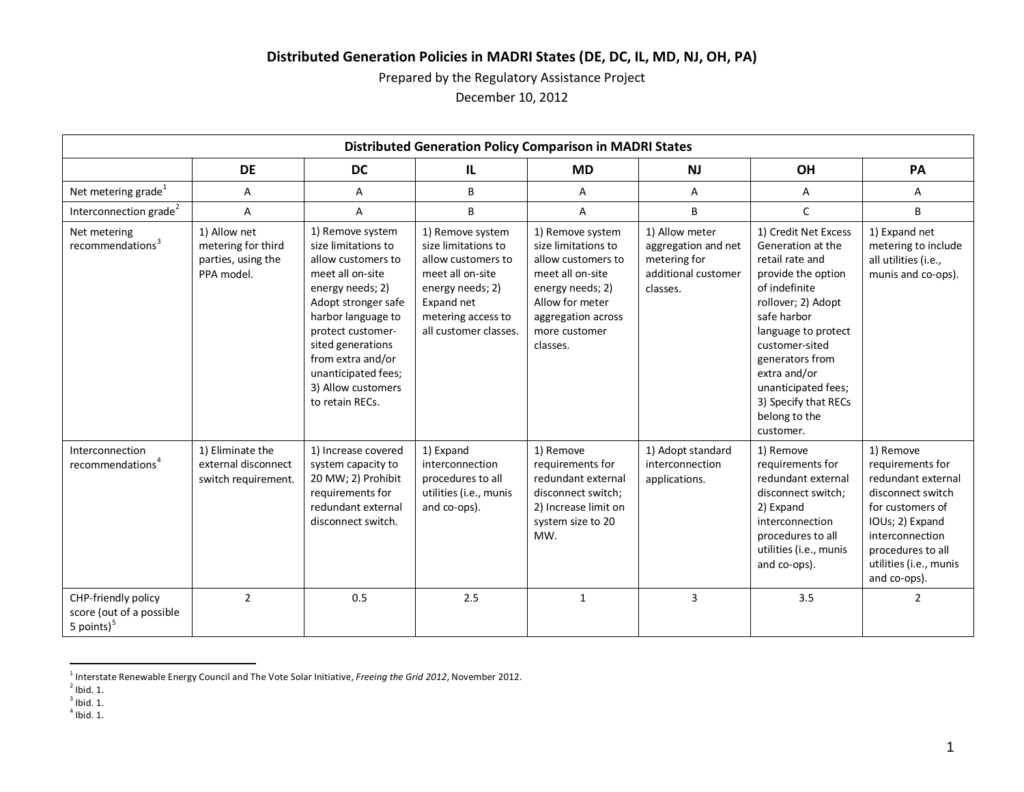# **Distributed Generation Policies in MADRI States (DE, DC, IL, MD, NJ, OH, PA)**

Prepared by the Regulatory Assistance Project

<span id="page-0-4"></span><span id="page-0-3"></span><span id="page-0-2"></span><span id="page-0-1"></span><span id="page-0-0"></span>December 10, 2012

| <b>Distributed Generation Policy Comparison in MADRI States</b>  |                                                                        |                                                                                                                                                                                                                                                                                   |                                                                                                                                                                    |                                                                                                                                                                             |                                                                                          |                                                                                                                                                                                                                                                                                                   |                                                                                                                                                                                                   |
|------------------------------------------------------------------|------------------------------------------------------------------------|-----------------------------------------------------------------------------------------------------------------------------------------------------------------------------------------------------------------------------------------------------------------------------------|--------------------------------------------------------------------------------------------------------------------------------------------------------------------|-----------------------------------------------------------------------------------------------------------------------------------------------------------------------------|------------------------------------------------------------------------------------------|---------------------------------------------------------------------------------------------------------------------------------------------------------------------------------------------------------------------------------------------------------------------------------------------------|---------------------------------------------------------------------------------------------------------------------------------------------------------------------------------------------------|
|                                                                  | <b>DE</b>                                                              | <b>DC</b>                                                                                                                                                                                                                                                                         | IL.                                                                                                                                                                | <b>MD</b>                                                                                                                                                                   | <b>NJ</b>                                                                                | OH                                                                                                                                                                                                                                                                                                | PA                                                                                                                                                                                                |
| Net metering grade <sup>1</sup>                                  | Α                                                                      | Α                                                                                                                                                                                                                                                                                 | B                                                                                                                                                                  | А                                                                                                                                                                           | A                                                                                        | A                                                                                                                                                                                                                                                                                                 | Α                                                                                                                                                                                                 |
| Interconnection grade <sup>2</sup>                               | A                                                                      | A                                                                                                                                                                                                                                                                                 | B                                                                                                                                                                  | A                                                                                                                                                                           | B                                                                                        | C                                                                                                                                                                                                                                                                                                 | B                                                                                                                                                                                                 |
| Net metering<br>recommendations <sup>3</sup>                     | 1) Allow net<br>metering for third<br>parties, using the<br>PPA model. | 1) Remove system<br>size limitations to<br>allow customers to<br>meet all on-site<br>energy needs; 2)<br>Adopt stronger safe<br>harbor language to<br>protect customer-<br>sited generations<br>from extra and/or<br>unanticipated fees;<br>3) Allow customers<br>to retain RECs. | 1) Remove system<br>size limitations to<br>allow customers to<br>meet all on-site<br>energy needs; 2)<br>Expand net<br>metering access to<br>all customer classes. | 1) Remove system<br>size limitations to<br>allow customers to<br>meet all on-site<br>energy needs; 2)<br>Allow for meter<br>aggregation across<br>more customer<br>classes. | 1) Allow meter<br>aggregation and net<br>metering for<br>additional customer<br>classes. | 1) Credit Net Excess<br>Generation at the<br>retail rate and<br>provide the option<br>of indefinite<br>rollover; 2) Adopt<br>safe harbor<br>language to protect<br>customer-sited<br>generators from<br>extra and/or<br>unanticipated fees;<br>3) Specify that RECs<br>belong to the<br>customer. | 1) Expand net<br>metering to include<br>all utilities (i.e.,<br>munis and co-ops).                                                                                                                |
| Interconnection<br>recommendations <sup>4</sup>                  | 1) Eliminate the<br>external disconnect<br>switch requirement.         | 1) Increase covered<br>system capacity to<br>20 MW; 2) Prohibit<br>requirements for<br>redundant external<br>disconnect switch.                                                                                                                                                   | 1) Expand<br>interconnection<br>procedures to all<br>utilities (i.e., munis<br>and co-ops).                                                                        | 1) Remove<br>requirements for<br>redundant external<br>disconnect switch;<br>2) Increase limit on<br>system size to 20<br>MW.                                               | 1) Adopt standard<br>interconnection<br>applications.                                    | 1) Remove<br>requirements for<br>redundant external<br>disconnect switch;<br>2) Expand<br>interconnection<br>procedures to all<br>utilities (i.e., munis<br>and co-ops).                                                                                                                          | 1) Remove<br>requirements for<br>redundant external<br>disconnect switch<br>for customers of<br>IOUs; 2) Expand<br>interconnection<br>procedures to all<br>utilities (i.e., munis<br>and co-ops). |
| CHP-friendly policy<br>score (out of a possible<br>5 points) $5$ | $\overline{2}$                                                         | 0.5                                                                                                                                                                                                                                                                               | 2.5                                                                                                                                                                | $\mathbf{1}$                                                                                                                                                                | 3                                                                                        | 3.5                                                                                                                                                                                                                                                                                               | $\overline{2}$                                                                                                                                                                                    |

 <sup>1</sup> Interstate Renewable Energy Council and The Vote Solar Initiative, *Freeing the Grid 2012*, November 2012.

 $2$  Ibid. 1.

 $3$  Ibid. 1.

 $4$  Ibid. 1.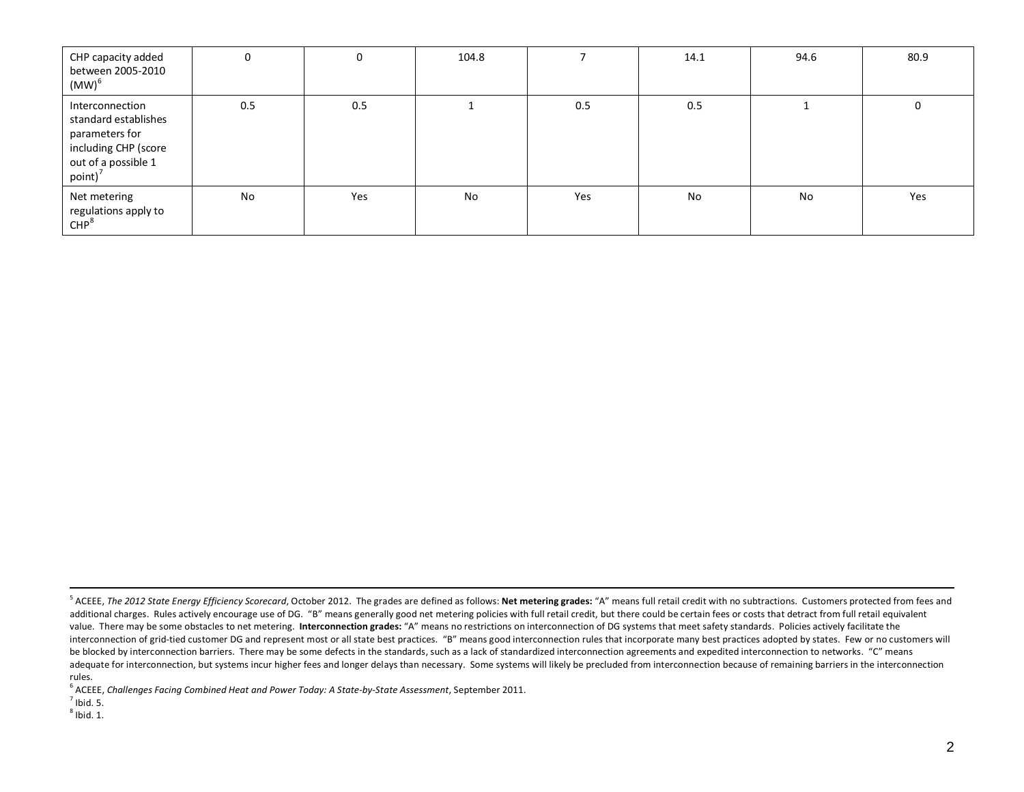<span id="page-1-2"></span><span id="page-1-1"></span><span id="page-1-0"></span>

| CHP capacity added<br>between 2005-2010<br>$(MW)^6$                                                                    | 0   | 0   | 104.8 |     | 14.1 | 94.6 | 80.9        |
|------------------------------------------------------------------------------------------------------------------------|-----|-----|-------|-----|------|------|-------------|
| Interconnection<br>standard establishes<br>parameters for<br>including CHP (score<br>out of a possible 1<br>point) $7$ | 0.5 | 0.5 |       | 0.5 | 0.5  |      | $\mathbf 0$ |
| Net metering<br>regulations apply to<br>CHP <sup>8</sup>                                                               | No  | Yes | No    | Yes | No   | No   | Yes         |

 $<sup>8</sup>$  Ibid. 1.</sup>

<sup>&</sup>lt;sup>5</sup> ACEEE, *The 2012 State Energy Efficiency Scorecard*, October 2012. The grades are defined as follows: **Net metering grades:** "A" means full retail credit with no subtractions. Customers protected from fees and additional charges. Rules actively encourage use of DG. "B" means generally good net metering policies with full retail credit, but there could be certain fees or costs that detract from full retail equivalent value. There may be some obstacles to net metering. **Interconnection grades:** "A" means no restrictions on interconnection of DG systems that meet safety standards. Policies actively facilitate the interconnection of grid-tied customer DG and represent most or all state best practices. "B" means good interconnection rules that incorporate many best practices adopted by states. Few or no customers will be blocked by interconnection barriers. There may be some defects in the standards, such as a lack of standardized interconnection agreements and expedited interconnection to networks. "C" means adequate for interconnection, but systems incur higher fees and longer delays than necessary. Some systems will likely be precluded from interconnection because of remaining barriers in the interconnection rules.

<sup>6</sup> ACEEE, *Challenges Facing Combined Heat and Power Today: A State-by-State Assessment*, September 2011.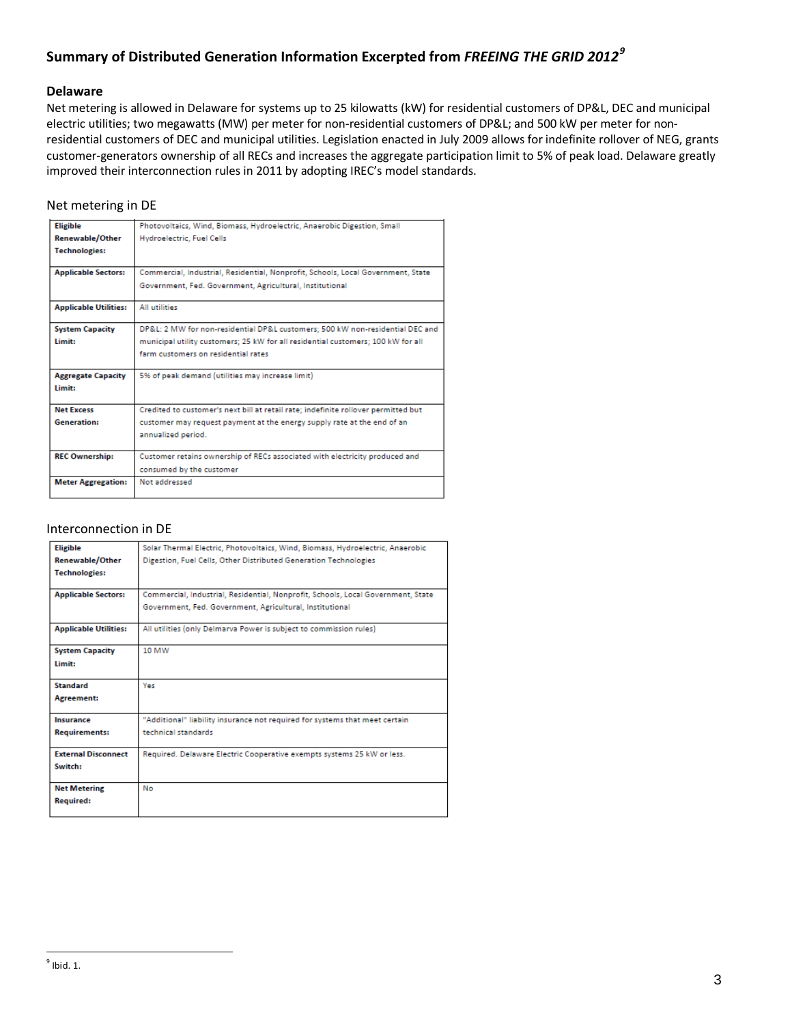# **Summary of Distributed Generation Information Excerpted from** *FREEING THE GRID 2012[9](#page-2-0)*

## **Delaware**

Net metering is allowed in Delaware for systems up to 25 kilowatts (kW) for residential customers of DP&L, DEC and municipal electric utilities; two megawatts (MW) per meter for non-residential customers of DP&L; and 500 kW per meter for nonresidential customers of DEC and municipal utilities. Legislation enacted in July 2009 allows for indefinite rollover of NEG, grants customer-generators ownership of all RECs and increases the aggregate participation limit to 5% of peak load. Delaware greatly improved their interconnection rules in 2011 by adopting IREC's model standards.

## Net metering in DE

| <b>Eligible</b>              | Photovoltaics, Wind, Biomass, Hydroelectric, Anaerobic Digestion, Small            |
|------------------------------|------------------------------------------------------------------------------------|
| <b>Renewable/Other</b>       | Hydroelectric, Fuel Cells                                                          |
| <b>Technologies:</b>         |                                                                                    |
| <b>Applicable Sectors:</b>   | Commercial, Industrial, Residential, Nonprofit, Schools, Local Government, State   |
|                              | Government, Fed. Government, Agricultural, Institutional                           |
| <b>Applicable Utilities:</b> | All utilities                                                                      |
| <b>System Capacity</b>       | DP&L: 2 MW for non-residential DP&L customers: 500 kW non-residential DEC and      |
| Limit:                       | municipal utility customers; 25 kW for all residential customers; 100 kW for all   |
|                              | farm customers on residential rates                                                |
| <b>Aggregate Capacity</b>    | 5% of peak demand (utilities may increase limit)                                   |
| Limit:                       |                                                                                    |
| <b>Net Excess</b>            | Credited to customer's next bill at retail rate; indefinite rollover permitted but |
| <b>Generation:</b>           | customer may request payment at the energy supply rate at the end of an            |
|                              | annualized period.                                                                 |
| <b>REC Ownership:</b>        | Customer retains ownership of RECs associated with electricity produced and        |
|                              | consumed by the customer                                                           |
| <b>Meter Aggregation:</b>    | Not addressed                                                                      |
|                              |                                                                                    |

## Interconnection in DE

<span id="page-2-0"></span>

| <b>Eligible</b>              | Solar Thermal Electric, Photovoltaics, Wind, Biomass, Hydroelectric, Anaerobic   |
|------------------------------|----------------------------------------------------------------------------------|
| <b>Renewable/Other</b>       | Digestion, Fuel Cells, Other Distributed Generation Technologies                 |
| <b>Technologies:</b>         |                                                                                  |
|                              |                                                                                  |
| <b>Applicable Sectors:</b>   | Commercial, Industrial, Residential, Nonprofit, Schools, Local Government, State |
|                              | Government, Fed. Government, Agricultural, Institutional                         |
| <b>Applicable Utilities:</b> | All utilities (only Delmarva Power is subject to commission rules)               |
| <b>System Capacity</b>       | 10 MW                                                                            |
| Limit:                       |                                                                                  |
| Standard                     | Yes                                                                              |
| Agreement:                   |                                                                                  |
| Insurance                    | "Additional" liability insurance not required for systems that meet certain      |
| <b>Requirements:</b>         | technical standards                                                              |
| <b>External Disconnect</b>   | Required. Delaware Electric Cooperative exempts systems 25 kW or less.           |
| Switch:                      |                                                                                  |
| <b>Net Metering</b>          | No                                                                               |
| <b>Required:</b>             |                                                                                  |
|                              |                                                                                  |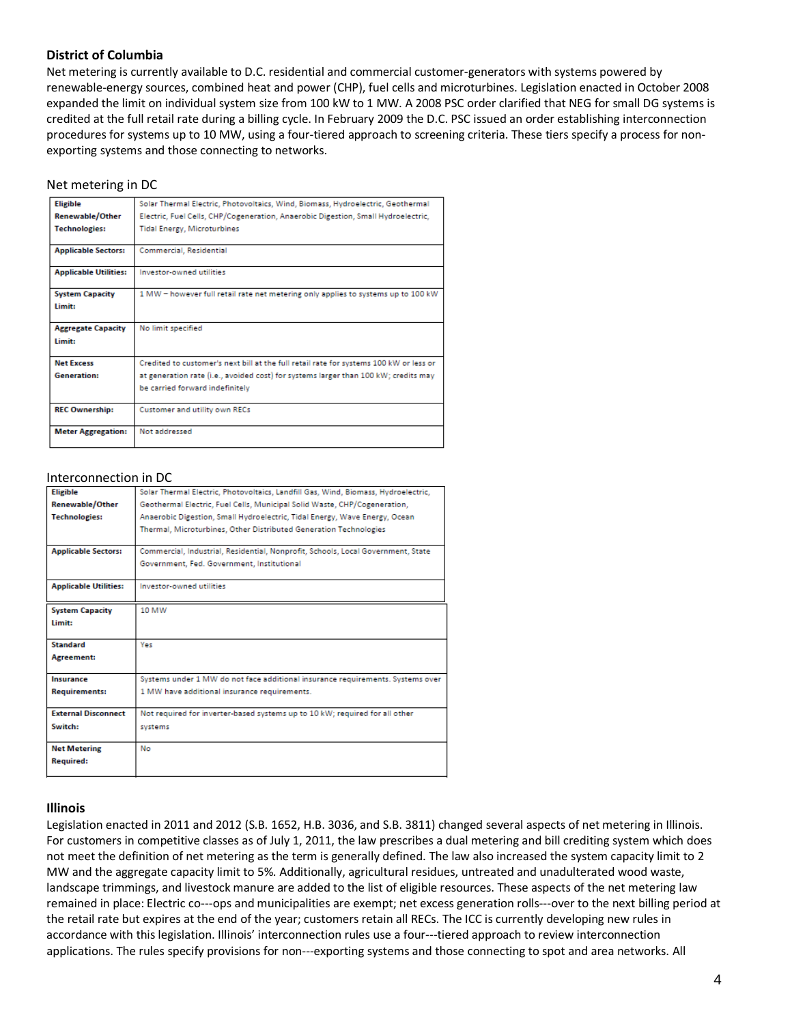## **District of Columbia**

Net metering is currently available to D.C. residential and commercial customer-generators with systems powered by renewable-energy sources, combined heat and power (CHP), fuel cells and microturbines. Legislation enacted in October 2008 expanded the limit on individual system size from 100 kW to 1 MW. A 2008 PSC order clarified that NEG for small DG systems is credited at the full retail rate during a billing cycle. In February 2009 the D.C. PSC issued an order establishing interconnection procedures for systems up to 10 MW, using a four-tiered approach to screening criteria. These tiers specify a process for nonexporting systems and those connecting to networks.

## Net metering in DC

| <b>Eligible</b>                     | Solar Thermal Electric, Photovoltaics, Wind, Biomass, Hydroelectric, Geothermal                                        |
|-------------------------------------|------------------------------------------------------------------------------------------------------------------------|
| <b>Renewable/Other</b>              | Electric, Fuel Cells, CHP/Cogeneration, Anaerobic Digestion, Small Hydroelectric,                                      |
| <b>Technologies:</b>                | <b>Tidal Energy, Microturbines</b>                                                                                     |
| <b>Applicable Sectors:</b>          | Commercial, Residential                                                                                                |
| <b>Applicable Utilities:</b>        | Investor-owned utilities                                                                                               |
| <b>System Capacity</b><br>limit:    | 1 MW - however full retail rate net metering only applies to systems up to 100 kW                                      |
| <b>Aggregate Capacity</b><br>limit: | No limit specified                                                                                                     |
| <b>Net Excess</b>                   | Credited to customer's next bill at the full retail rate for systems 100 kW or less or                                 |
| <b>Generation:</b>                  | at generation rate (i.e., avoided cost) for systems larger than 100 kW; credits may<br>be carried forward indefinitely |
| <b>REC Ownership:</b>               | <b>Customer and utility own RECs</b>                                                                                   |
| <b>Meter Aggregation:</b>           | Not addressed                                                                                                          |

#### Interconnection in DC

| <b>Eligible</b>              | Solar Thermal Electric, Photovoltaics, Landfill Gas, Wind, Biomass, Hydroelectric, |
|------------------------------|------------------------------------------------------------------------------------|
| <b>Renewable/Other</b>       | Geothermal Electric, Fuel Cells, Municipal Solid Waste, CHP/Cogeneration,          |
| <b>Technologies:</b>         | Anaerobic Digestion, Small Hydroelectric, Tidal Energy, Wave Energy, Ocean         |
|                              | Thermal, Microturbines, Other Distributed Generation Technologies                  |
| <b>Applicable Sectors:</b>   | Commercial, Industrial, Residential, Nonprofit, Schools, Local Government, State   |
|                              | Government, Fed. Government, Institutional                                         |
| <b>Applicable Utilities:</b> | Investor-owned utilities                                                           |
| <b>System Capacity</b>       | 10 MW                                                                              |
| Limit:                       |                                                                                    |
| Standard                     | Yes                                                                                |
| Agreement:                   |                                                                                    |
| Insurance                    | Systems under 1 MW do not face additional insurance requirements. Systems over     |
| <b>Requirements:</b>         | 1 MW have additional insurance requirements.                                       |
| <b>External Disconnect</b>   | Not required for inverter-based systems up to 10 kW; required for all other        |
| Switch:                      | systems                                                                            |
| <b>Net Metering</b>          | No                                                                                 |
| <b>Required:</b>             |                                                                                    |
|                              |                                                                                    |

## **Illinois**

Legislation enacted in 2011 and 2012 (S.B. 1652, H.B. 3036, and S.B. 3811) changed several aspects of net metering in Illinois. For customers in competitive classes as of July 1, 2011, the law prescribes a dual metering and bill crediting system which does not meet the definition of net metering as the term is generally defined. The law also increased the system capacity limit to 2 MW and the aggregate capacity limit to 5%. Additionally, agricultural residues, untreated and unadulterated wood waste, landscape trimmings, and livestock manure are added to the list of eligible resources. These aspects of the net metering law remained in place: Electric co---ops and municipalities are exempt; net excess generation rolls---over to the next billing period at the retail rate but expires at the end of the year; customers retain all RECs. The ICC is currently developing new rules in accordance with this legislation. Illinois' interconnection rules use a four---tiered approach to review interconnection applications. The rules specify provisions for non---exporting systems and those connecting to spot and area networks. All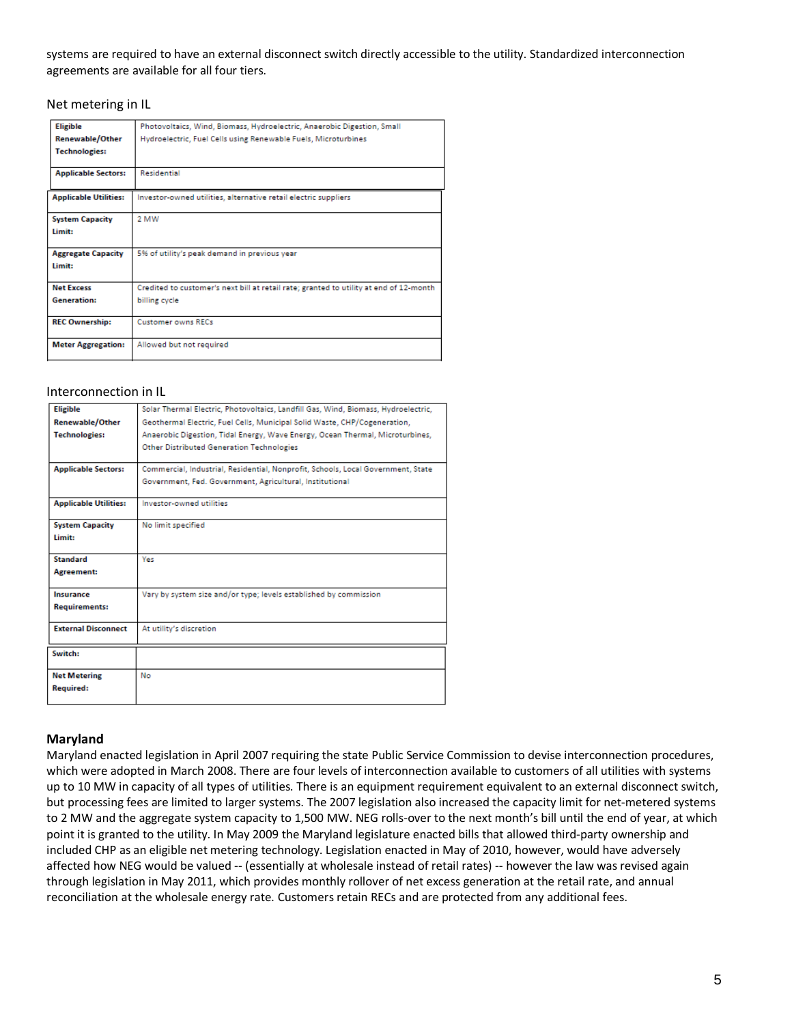## systems are required to have an external disconnect switch directly accessible to the utility. Standardized interconnection agreements are available for all four tiers.

Net metering in IL

| <b>Eligible</b>              | Photovoltaics, Wind, Biomass, Hydroelectric, Anaerobic Digestion, Small                |
|------------------------------|----------------------------------------------------------------------------------------|
| Renewable/Other              | Hydroelectric, Fuel Cells using Renewable Fuels, Microturbines                         |
| <b>Technologies:</b>         |                                                                                        |
| <b>Applicable Sectors:</b>   | <b>Residential</b>                                                                     |
| <b>Applicable Utilities:</b> | Investor-owned utilities, alternative retail electric suppliers                        |
| <b>System Capacity</b>       | 2 MW                                                                                   |
| Limit:                       |                                                                                        |
| <b>Aggregate Capacity</b>    | 5% of utility's peak demand in previous year                                           |
| Limit:                       |                                                                                        |
| <b>Net Excess</b>            | Credited to customer's next bill at retail rate; granted to utility at end of 12-month |
| <b>Generation:</b>           | billing cycle                                                                          |
| <b>REC Ownership:</b>        | <b>Customer owns RECs</b>                                                              |
| <b>Meter Aggregation:</b>    | Allowed but not required                                                               |

## Interconnection in IL

| <b>Eligible</b>              | Solar Thermal Electric, Photovoltaics, Landfill Gas, Wind, Biomass, Hydroelectric, |
|------------------------------|------------------------------------------------------------------------------------|
| <b>Renewable/Other</b>       | Geothermal Electric, Fuel Cells, Municipal Solid Waste, CHP/Cogeneration,          |
| <b>Technologies:</b>         | Anaerobic Digestion, Tidal Energy, Wave Energy, Ocean Thermal, Microturbines,      |
|                              | Other Distributed Generation Technologies                                          |
| <b>Applicable Sectors:</b>   | Commercial, Industrial, Residential, Nonprofit, Schools, Local Government, State   |
|                              | Government, Fed. Government, Agricultural, Institutional                           |
| <b>Applicable Utilities:</b> | Investor-owned utilities                                                           |
| <b>System Capacity</b>       | No limit specified                                                                 |
| Limit:                       |                                                                                    |
| <b>Standard</b>              | Yes                                                                                |
| <b>Agreement:</b>            |                                                                                    |
| Insurance                    | Vary by system size and/or type; levels established by commission                  |
| <b>Requirements:</b>         |                                                                                    |
| <b>External Disconnect</b>   | At utility's discretion                                                            |
| Switch:                      |                                                                                    |
| <b>Net Metering</b>          | No                                                                                 |
| <b>Required:</b>             |                                                                                    |
|                              |                                                                                    |

## **Maryland**

Maryland enacted legislation in April 2007 requiring the state Public Service Commission to devise interconnection procedures, which were adopted in March 2008. There are four levels of interconnection available to customers of all utilities with systems up to 10 MW in capacity of all types of utilities. There is an equipment requirement equivalent to an external disconnect switch, but processing fees are limited to larger systems. The 2007 legislation also increased the capacity limit for net-metered systems to 2 MW and the aggregate system capacity to 1,500 MW. NEG rolls-over to the next month's bill until the end of year, at which point it is granted to the utility. In May 2009 the Maryland legislature enacted bills that allowed third-party ownership and included CHP as an eligible net metering technology. Legislation enacted in May of 2010, however, would have adversely affected how NEG would be valued -- (essentially at wholesale instead of retail rates) -- however the law was revised again through legislation in May 2011, which provides monthly rollover of net excess generation at the retail rate, and annual reconciliation at the wholesale energy rate. Customers retain RECs and are protected from any additional fees.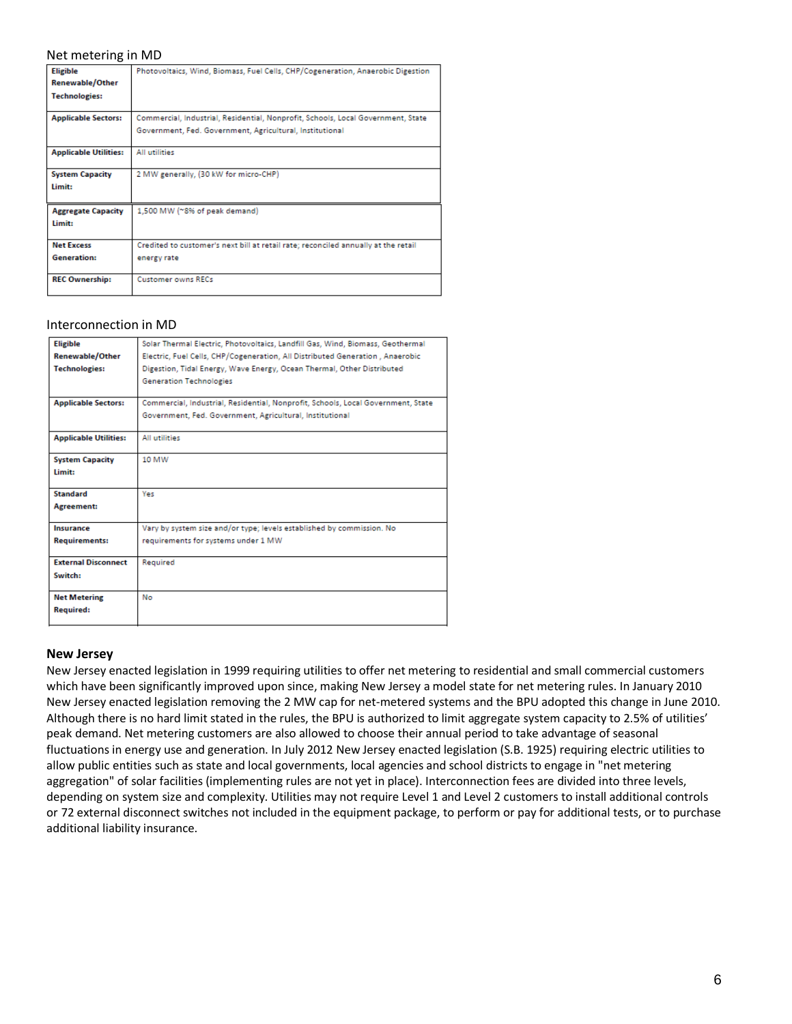### Net metering in MD

| <b>Eligible</b>              | Photovoltaics, Wind, Biomass, Fuel Cells, CHP/Cogeneration, Anaerobic Digestion    |
|------------------------------|------------------------------------------------------------------------------------|
| Renewable/Other              |                                                                                    |
| <b>Technologies:</b>         |                                                                                    |
| <b>Applicable Sectors:</b>   | Commercial, Industrial, Residential, Nonprofit, Schools, Local Government, State   |
|                              | Government, Fed. Government, Agricultural, Institutional                           |
| <b>Applicable Utilities:</b> | All utilities                                                                      |
| <b>System Capacity</b>       | 2 MW generally, (30 kW for micro-CHP)                                              |
| Limit:                       |                                                                                    |
| <b>Aggregate Capacity</b>    | 1,500 MW (~8% of peak demand)                                                      |
| Limit:                       |                                                                                    |
| <b>Net Excess</b>            | Credited to customer's next bill at retail rate; reconciled annually at the retail |
| <b>Generation:</b>           | energy rate                                                                        |
| <b>REC Ownership:</b>        | <b>Customer owns RECs</b>                                                          |

#### Interconnection in MD

| <b>Eligible</b>              | Solar Thermal Electric, Photovoltaics, Landfill Gas, Wind, Biomass, Geothermal   |
|------------------------------|----------------------------------------------------------------------------------|
| <b>Renewable/Other</b>       | Electric, Fuel Cells, CHP/Cogeneration, All Distributed Generation, Anaerobic    |
| <b>Technologies:</b>         | Digestion, Tidal Energy, Wave Energy, Ocean Thermal, Other Distributed           |
|                              | <b>Generation Technologies</b>                                                   |
|                              |                                                                                  |
| <b>Applicable Sectors:</b>   | Commercial, Industrial, Residential, Nonprofit, Schools, Local Government, State |
|                              | Government, Fed. Government, Agricultural, Institutional                         |
| <b>Applicable Utilities:</b> | All utilities                                                                    |
| <b>System Capacity</b>       | 10 MW                                                                            |
| Limit:                       |                                                                                  |
| <b>Standard</b>              | Yes                                                                              |
| Agreement:                   |                                                                                  |
| <b>Insurance</b>             | Vary by system size and/or type; levels established by commission. No            |
| <b>Requirements:</b>         | requirements for systems under 1 MW                                              |
| <b>External Disconnect</b>   | Required                                                                         |
| Switch:                      |                                                                                  |
| <b>Net Metering</b>          | No                                                                               |
| <b>Required:</b>             |                                                                                  |
|                              |                                                                                  |

#### **New Jersey**

New Jersey enacted legislation in 1999 requiring utilities to offer net metering to residential and small commercial customers which have been significantly improved upon since, making New Jersey a model state for net metering rules. In January 2010 New Jersey enacted legislation removing the 2 MW cap for net-metered systems and the BPU adopted this change in June 2010. Although there is no hard limit stated in the rules, the BPU is authorized to limit aggregate system capacity to 2.5% of utilities' peak demand. Net metering customers are also allowed to choose their annual period to take advantage of seasonal fluctuations in energy use and generation. In July 2012 New Jersey enacted legislation (S.B. 1925) requiring electric utilities to allow public entities such as state and local governments, local agencies and school districts to engage in "net metering aggregation" of solar facilities (implementing rules are not yet in place). Interconnection fees are divided into three levels, depending on system size and complexity. Utilities may not require Level 1 and Level 2 customers to install additional controls or 72 external disconnect switches not included in the equipment package, to perform or pay for additional tests, or to purchase additional liability insurance.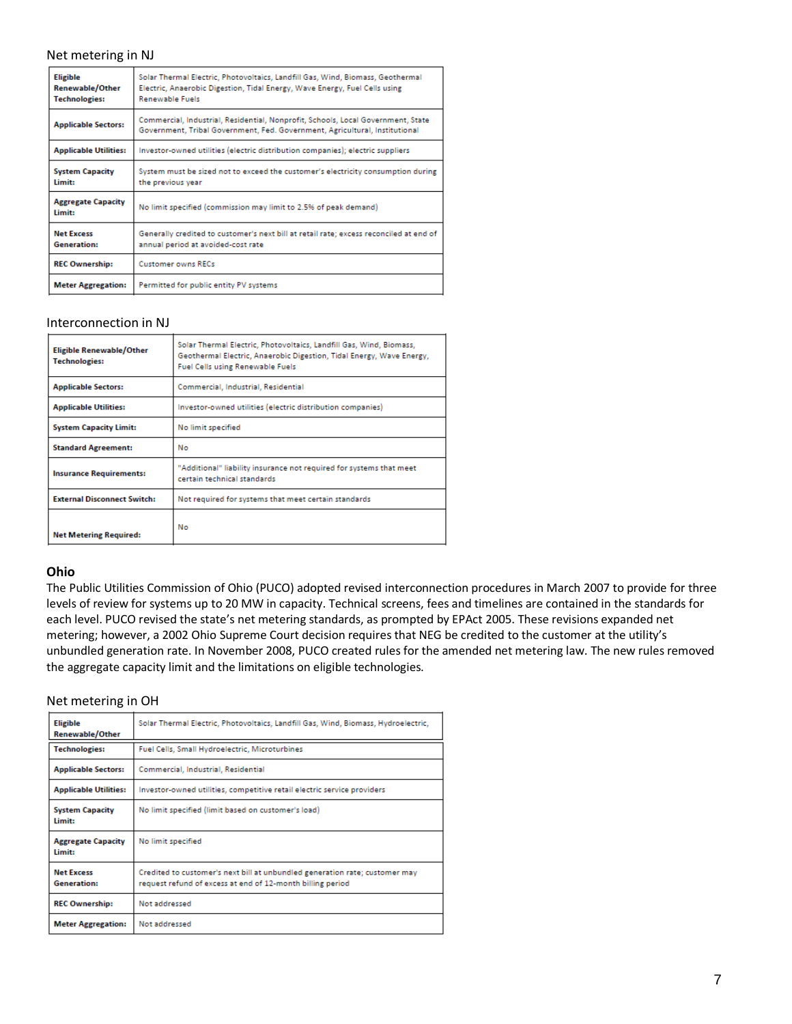## Net metering in NJ

| <b>Eligible</b><br>Renewable/Other<br><b>Technologies:</b> | Solar Thermal Electric, Photovoltaics, Landfill Gas, Wind, Biomass, Geothermal<br>Electric, Anaerobic Digestion, Tidal Energy, Wave Energy, Fuel Cells using<br><b>Renewable Fuels</b> |
|------------------------------------------------------------|----------------------------------------------------------------------------------------------------------------------------------------------------------------------------------------|
| <b>Applicable Sectors:</b>                                 | Commercial, Industrial, Residential, Nonprofit, Schools, Local Government, State<br>Government, Tribal Government, Fed. Government, Agricultural, Institutional                        |
| <b>Applicable Utilities:</b>                               | Investor-owned utilities (electric distribution companies); electric suppliers                                                                                                         |
| <b>System Capacity</b><br>Limit:                           | System must be sized not to exceed the customer's electricity consumption during<br>the previous year                                                                                  |
| <b>Aggregate Capacity</b><br>Limit:                        | No limit specified (commission may limit to 2.5% of peak demand)                                                                                                                       |
| <b>Net Excess</b><br><b>Generation:</b>                    | Generally credited to customer's next bill at retail rate; excess reconciled at end of<br>annual period at avoided-cost rate                                                           |
| <b>REC Ownership:</b>                                      | <b>Customer owns RECs</b>                                                                                                                                                              |
| <b>Meter Aggregation:</b>                                  | Permitted for public entity PV systems                                                                                                                                                 |

#### Interconnection in NJ

| <b>Eligible Renewable/Other</b><br><b>Technologies:</b> | Solar Thermal Electric, Photovoltaics, Landfill Gas, Wind, Biomass,<br>Geothermal Electric, Anaerobic Digestion, Tidal Energy, Wave Energy,<br><b>Fuel Cells using Renewable Fuels</b> |
|---------------------------------------------------------|----------------------------------------------------------------------------------------------------------------------------------------------------------------------------------------|
| <b>Applicable Sectors:</b>                              | Commercial, Industrial, Residential                                                                                                                                                    |
| <b>Applicable Utilities:</b>                            | Investor-owned utilities (electric distribution companies)                                                                                                                             |
| <b>System Capacity Limit:</b>                           | No limit specified                                                                                                                                                                     |
| <b>Standard Agreement:</b>                              | No                                                                                                                                                                                     |
| <b>Insurance Requirements:</b>                          | "Additional" liability insurance not required for systems that meet<br>certain technical standards.                                                                                    |
| <b>External Disconnect Switch:</b>                      | Not required for systems that meet certain standards                                                                                                                                   |
| <b>Net Metering Required:</b>                           | No                                                                                                                                                                                     |

## **Ohio**

The Public Utilities Commission of Ohio (PUCO) adopted revised interconnection procedures in March 2007 to provide for three levels of review for systems up to 20 MW in capacity. Technical screens, fees and timelines are contained in the standards for each level. PUCO revised the state's net metering standards, as prompted by EPAct 2005. These revisions expanded net metering; however, a 2002 Ohio Supreme Court decision requires that NEG be credited to the customer at the utility's unbundled generation rate. In November 2008, PUCO created rules for the amended net metering law. The new rules removed the aggregate capacity limit and the limitations on eligible technologies.

### Net metering in OH

| <b>Eligible</b><br>Renewable/Other      | Solar Thermal Electric, Photovoltaics, Landfill Gas, Wind, Biomass, Hydroelectric,                                                        |
|-----------------------------------------|-------------------------------------------------------------------------------------------------------------------------------------------|
| <b>Technologies:</b>                    | Fuel Cells, Small Hydroelectric, Microturbines                                                                                            |
| <b>Applicable Sectors:</b>              | Commercial, Industrial, Residential                                                                                                       |
| <b>Applicable Utilities:</b>            | Investor-owned utilities, competitive retail electric service providers                                                                   |
| <b>System Capacity</b><br>Limit:        | No limit specified (limit based on customer's load)                                                                                       |
| <b>Aggregate Capacity</b><br>limit:     | No limit specified                                                                                                                        |
| <b>Net Excess</b><br><b>Generation:</b> | Credited to customer's next bill at unbundled generation rate; customer may<br>request refund of excess at end of 12-month billing period |
| <b>REC Ownership:</b>                   | Not addressed                                                                                                                             |
| <b>Meter Aggregation:</b>               | Not addressed                                                                                                                             |